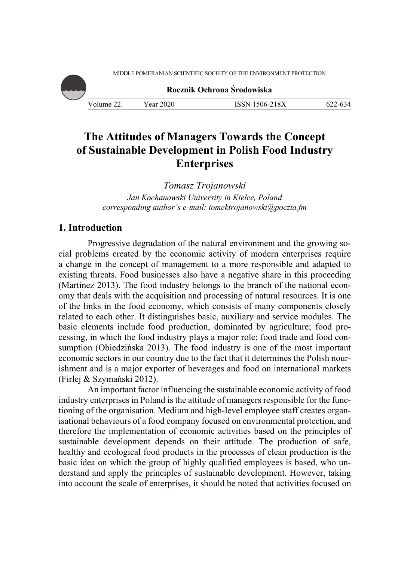MIDDLE POMERANIAN SCIENTIFIC SOCIETY OF THE ENVIRONMENT PROTECTION



**Rocznik Ochrona Środowiska**

Volume 22. Year 2020 **ISSN 1506-218X** 622-634

# **The Attitudes of Managers Towards the Concept of Sustainable Development in Polish Food Industry Enterprises**

*Tomasz Trojanowski Jan Kochanowski University in Kielce, Poland corresponding author's e-mail: tomektrojanowski@poczta.fm* 

# **1. Introduction**

Progressive degradation of the natural environment and the growing social problems created by the economic activity of modern enterprises require a change in the concept of management to a more responsible and adapted to existing threats. Food businesses also have a negative share in this proceeding (Martinez 2013). The food industry belongs to the branch of the national economy that deals with the acquisition and processing of natural resources. It is one of the links in the food economy, which consists of many components closely related to each other. It distinguishes basic, auxiliary and service modules. The basic elements include food production, dominated by agriculture; food processing, in which the food industry plays a major role; food trade and food consumption (Obiedzińska 2013). The food industry is one of the most important economic sectors in our country due to the fact that it determines the Polish nourishment and is a major exporter of beverages and food on international markets (Firlej & Szymański 2012).

An important factor influencing the sustainable economic activity of food industry enterprises in Poland is the attitude of managers responsible for the functioning of the organisation. Medium and high-level employee staff creates organisational behaviours of a food company focused on environmental protection, and therefore the implementation of economic activities based on the principles of sustainable development depends on their attitude. The production of safe, healthy and ecological food products in the processes of clean production is the basic idea on which the group of highly qualified employees is based, who understand and apply the principles of sustainable development. However, taking into account the scale of enterprises, it should be noted that activities focused on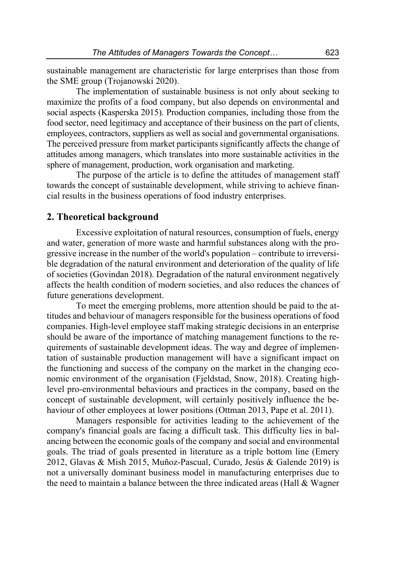sustainable management are characteristic for large enterprises than those from the SME group (Trojanowski 2020).

The implementation of sustainable business is not only about seeking to maximize the profits of a food company, but also depends on environmental and social aspects (Kasperska 2015). Production companies, including those from the food sector, need legitimacy and acceptance of their business on the part of clients, employees, contractors, suppliers as well as social and governmental organisations. The perceived pressure from market participants significantly affects the change of attitudes among managers, which translates into more sustainable activities in the sphere of management, production, work organisation and marketing.

The purpose of the article is to define the attitudes of management staff towards the concept of sustainable development, while striving to achieve financial results in the business operations of food industry enterprises.

### **2. Theoretical background**

Excessive exploitation of natural resources, consumption of fuels, energy and water, generation of more waste and harmful substances along with the progressive increase in the number of the world's population – contribute to irreversible degradation of the natural environment and deterioration of the quality of life of societies (Govindan 2018). Degradation of the natural environment negatively affects the health condition of modern societies, and also reduces the chances of future generations development.

To meet the emerging problems, more attention should be paid to the attitudes and behaviour of managers responsible for the business operations of food companies. High-level employee staff making strategic decisions in an enterprise should be aware of the importance of matching management functions to the requirements of sustainable development ideas. The way and degree of implementation of sustainable production management will have a significant impact on the functioning and success of the company on the market in the changing economic environment of the organisation (Fjeldstad, Snow, 2018). Creating highlevel pro-environmental behaviours and practices in the company, based on the concept of sustainable development, will certainly positively influence the behaviour of other employees at lower positions (Ottman 2013, Pape et al. 2011).

Managers responsible for activities leading to the achievement of the company's financial goals are facing a difficult task. This difficulty lies in balancing between the economic goals of the company and social and environmental goals. The triad of goals presented in literature as a triple bottom line (Emery 2012, Glavas & Mish 2015, Muñoz-Pascual, Curado, Jesús & Galende 2019) is not a universally dominant business model in manufacturing enterprises due to the need to maintain a balance between the three indicated areas (Hall & Wagner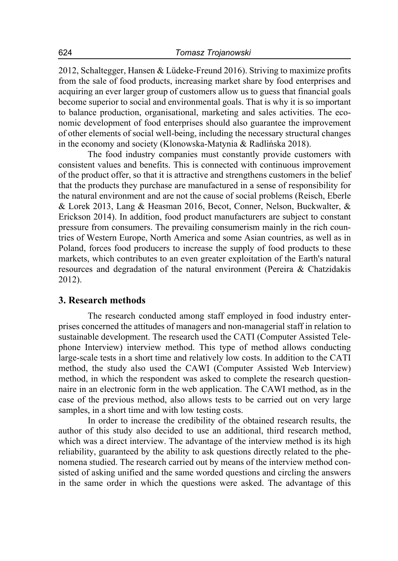2012, Schaltegger, Hansen & Lüdeke-Freund 2016). Striving to maximize profits from the sale of food products, increasing market share by food enterprises and acquiring an ever larger group of customers allow us to guess that financial goals become superior to social and environmental goals. That is why it is so important to balance production, organisational, marketing and sales activities. The economic development of food enterprises should also guarantee the improvement of other elements of social well-being, including the necessary structural changes in the economy and society (Klonowska-Matynia & Radlińska 2018).

The food industry companies must constantly provide customers with consistent values and benefits. This is connected with continuous improvement of the product offer, so that it is attractive and strengthens customers in the belief that the products they purchase are manufactured in a sense of responsibility for the natural environment and are not the cause of social problems (Reisch, Eberle & Lorek 2013, Lang & Heasman 2016, Becot, Conner, Nelson, Buckwalter, & Erickson 2014). In addition, food product manufacturers are subject to constant pressure from consumers. The prevailing consumerism mainly in the rich countries of Western Europe, North America and some Asian countries, as well as in Poland, forces food producers to increase the supply of food products to these markets, which contributes to an even greater exploitation of the Earth's natural resources and degradation of the natural environment (Pereira & Chatzidakis 2012).

## **3. Research methods**

The research conducted among staff employed in food industry enterprises concerned the attitudes of managers and non-managerial staff in relation to sustainable development. The research used the CATI (Computer Assisted Telephone Interview) interview method. This type of method allows conducting large-scale tests in a short time and relatively low costs. In addition to the CATI method, the study also used the CAWI (Computer Assisted Web Interview) method, in which the respondent was asked to complete the research questionnaire in an electronic form in the web application. The CAWI method, as in the case of the previous method, also allows tests to be carried out on very large samples, in a short time and with low testing costs.

In order to increase the credibility of the obtained research results, the author of this study also decided to use an additional, third research method, which was a direct interview. The advantage of the interview method is its high reliability, guaranteed by the ability to ask questions directly related to the phenomena studied. The research carried out by means of the interview method consisted of asking unified and the same worded questions and circling the answers in the same order in which the questions were asked. The advantage of this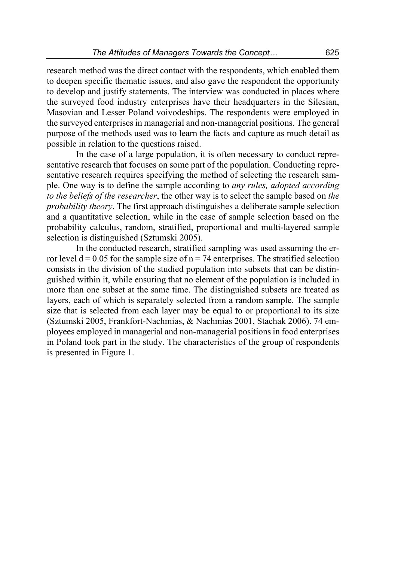research method was the direct contact with the respondents, which enabled them to deepen specific thematic issues, and also gave the respondent the opportunity to develop and justify statements. The interview was conducted in places where the surveyed food industry enterprises have their headquarters in the Silesian, Masovian and Lesser Poland voivodeships. The respondents were employed in the surveyed enterprises in managerial and non-managerial positions. The general purpose of the methods used was to learn the facts and capture as much detail as possible in relation to the questions raised.

In the case of a large population, it is often necessary to conduct representative research that focuses on some part of the population. Conducting representative research requires specifying the method of selecting the research sample. One way is to define the sample according to *any rules, adopted according to the beliefs of the researcher*, the other way is to select the sample based on *the probability theory*. The first approach distinguishes a deliberate sample selection and a quantitative selection, while in the case of sample selection based on the probability calculus, random, stratified, proportional and multi-layered sample selection is distinguished (Sztumski 2005).

In the conducted research, stratified sampling was used assuming the error level  $d = 0.05$  for the sample size of  $n = 74$  enterprises. The stratified selection consists in the division of the studied population into subsets that can be distinguished within it, while ensuring that no element of the population is included in more than one subset at the same time. The distinguished subsets are treated as layers, each of which is separately selected from a random sample. The sample size that is selected from each layer may be equal to or proportional to its size (Sztumski 2005, Frankfort-Nachmias, & Nachmias 2001, Stachak 2006). 74 employees employed in managerial and non-managerial positions in food enterprises in Poland took part in the study. The characteristics of the group of respondents is presented in Figure 1.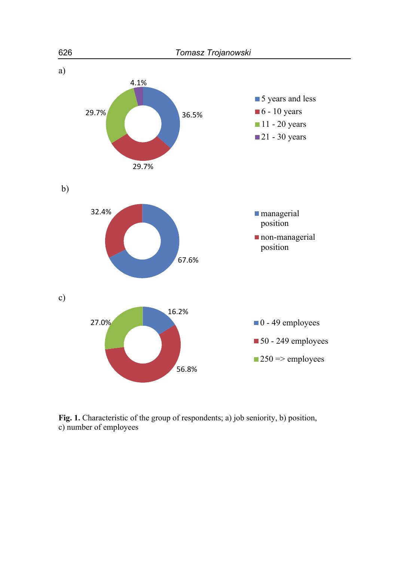

Fig. 1. Characteristic of the group of respondents; a) job seniority, b) position, c) number of employees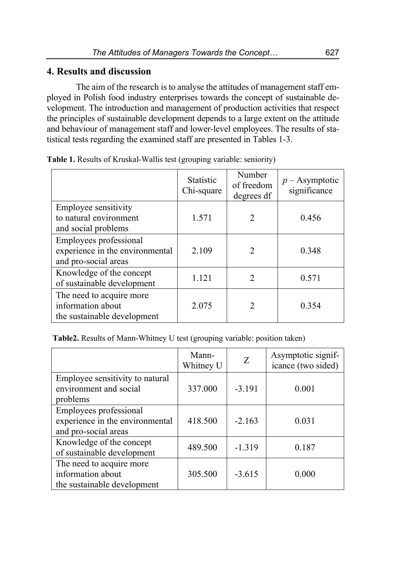# **4. Results and discussion**

The aim of the research is to analyse the attitudes of management staff employed in Polish food industry enterprises towards the concept of sustainable development. The introduction and management of production activities that respect the principles of sustainable development depends to a large extent on the attitude and behaviour of management staff and lower-level employees. The results of statistical tests regarding the examined staff are presented in Tables 1-3.

|                                                                                   | <b>Statistic</b><br>Chi-square | Number<br>of freedom<br>degrees df | $p$ – Asymptotic<br>significance |
|-----------------------------------------------------------------------------------|--------------------------------|------------------------------------|----------------------------------|
| Employee sensitivity<br>to natural environment<br>and social problems             | 1.571                          | 2                                  | 0.456                            |
| Employees professional<br>experience in the environmental<br>and pro-social areas | 2.109                          | 2                                  | 0.348                            |
| Knowledge of the concept<br>of sustainable development                            | 1.121                          | 2                                  | 0.571                            |
| The need to acquire more<br>information about<br>the sustainable development      | 2.075                          | $\mathcal{D}_{\mathcal{L}}$        | 0.354                            |

**Table 1.** Results of Kruskal-Wallis test (grouping variable: seniority)

**Table2.** Results of Mann-Whitney U test (grouping variable: position taken)

|                                                                                   | Mann-<br>Whitney U | Ζ        | Asymptotic signif-<br>icance (two sided) |
|-----------------------------------------------------------------------------------|--------------------|----------|------------------------------------------|
| Employee sensitivity to natural<br>environment and social<br>problems             | 337.000            | $-3.191$ | 0.001                                    |
| Employees professional<br>experience in the environmental<br>and pro-social areas | 418.500            | $-2.163$ | 0.031                                    |
| Knowledge of the concept<br>of sustainable development                            | 489.500            | $-1.319$ | 0.187                                    |
| The need to acquire more<br>information about<br>the sustainable development      | 305.500            | $-3.615$ | 0.000                                    |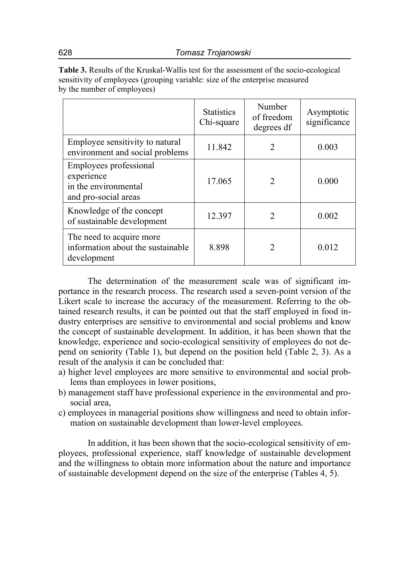**Table 3.** Results of the Kruskal-Wallis test for the assessment of the socio-ecological sensitivity of employees (grouping variable: size of the enterprise measured by the number of employees)

|                                                                                      | <b>Statistics</b><br>Chi-square | Number<br>of freedom<br>degrees df | Asymptotic<br>significance |
|--------------------------------------------------------------------------------------|---------------------------------|------------------------------------|----------------------------|
| Employee sensitivity to natural<br>environment and social problems                   | 11.842                          | 2                                  | 0.003                      |
| Employees professional<br>experience<br>in the environmental<br>and pro-social areas | 17.065                          | $\overline{2}$                     | 0.000                      |
| Knowledge of the concept<br>of sustainable development                               | 12.397                          | $\mathcal{D}$                      | 0.002                      |
| The need to acquire more<br>information about the sustainable<br>development         | 8.898                           | $\mathcal{D}$                      | 0.012                      |

The determination of the measurement scale was of significant importance in the research process. The research used a seven-point version of the Likert scale to increase the accuracy of the measurement. Referring to the obtained research results, it can be pointed out that the staff employed in food industry enterprises are sensitive to environmental and social problems and know the concept of sustainable development. In addition, it has been shown that the knowledge, experience and socio-ecological sensitivity of employees do not depend on seniority (Table 1), but depend on the position held (Table 2, 3). As a result of the analysis it can be concluded that:

- a) higher level employees are more sensitive to environmental and social problems than employees in lower positions,
- b) management staff have professional experience in the environmental and prosocial area,
- c) employees in managerial positions show willingness and need to obtain information on sustainable development than lower-level employees.

In addition, it has been shown that the socio-ecological sensitivity of employees, professional experience, staff knowledge of sustainable development and the willingness to obtain more information about the nature and importance of sustainable development depend on the size of the enterprise (Tables 4, 5).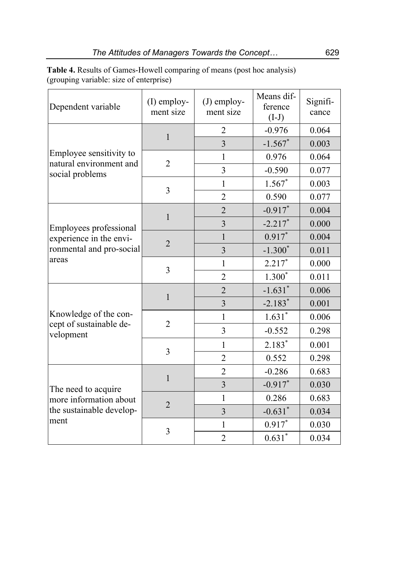**Table 4.** Results of Games-Howell comparing of means (post hoc analysis) (grouping variable: size of enterprise)

| Dependent variable                                                            | $(I)$ employ-<br>ment size | $(J)$ employ-<br>ment size | Means dif-<br>ference<br>$(I-J)$ | Signifi-<br>cance |
|-------------------------------------------------------------------------------|----------------------------|----------------------------|----------------------------------|-------------------|
| Employee sensitivity to<br>natural environment and<br>social problems         | $\mathbf{1}$               | $\overline{2}$             | $-0.976$                         | 0.064             |
|                                                                               |                            | 3                          | $-1.567$ *                       | 0.003             |
|                                                                               | $\overline{2}$             | 1                          | 0.976                            | 0.064             |
|                                                                               |                            | $\overline{3}$             | $-0.590$                         | 0.077             |
|                                                                               | 3                          | $\mathbf{1}$               | $1.567*$                         | 0.003             |
|                                                                               |                            | $\overline{2}$             | 0.590                            | 0.077             |
| Employees professional<br>experience in the envi-<br>ronmental and pro-social | $\mathbf{1}$               | $\overline{2}$             | $-0.917$ *                       | 0.004             |
|                                                                               |                            | 3                          | $-2.217$ *                       | 0.000             |
|                                                                               |                            | 1                          | $0.917$ *                        | 0.004             |
|                                                                               | $\overline{2}$             | $\overline{3}$             | $-1.300*$                        | 0.011             |
| areas                                                                         |                            | $\mathbf{1}$               | $2.217*$                         | 0.000             |
|                                                                               | 3                          | $\overline{2}$             | $1.300*$                         | 0.011             |
| Knowledge of the con-<br>cept of sustainable de-<br>velopment                 | $\mathbf{1}$               | $\overline{2}$             | $-1.631$ <sup>*</sup>            | 0.006             |
|                                                                               |                            | 3                          | $-2.183*$                        | 0.001             |
|                                                                               | $\overline{2}$             | $\mathbf{1}$               | $1.631*$                         | 0.006             |
|                                                                               |                            | 3                          | $-0.552$                         | 0.298             |
|                                                                               | 3                          | $\mathbf{1}$               | $2.183*$                         | 0.001             |
|                                                                               |                            | $\overline{2}$             | 0.552                            | 0.298             |
| The need to acquire<br>more information about<br>the sustainable develop-     | $\mathbf{1}$               | $\overline{2}$             | $-0.286$                         | 0.683             |
|                                                                               |                            | 3                          | $-0.917$ *                       | 0.030             |
|                                                                               | $\overline{2}$             | $\mathbf{1}$               | 0.286                            | 0.683             |
|                                                                               |                            | $\overline{3}$             | $-0.631$ *                       | 0.034             |
| ment                                                                          | 3                          | $\mathbf{1}$               | $0.917*$                         | 0.030             |
|                                                                               |                            | $\overline{2}$             | $0.631*$                         | 0.034             |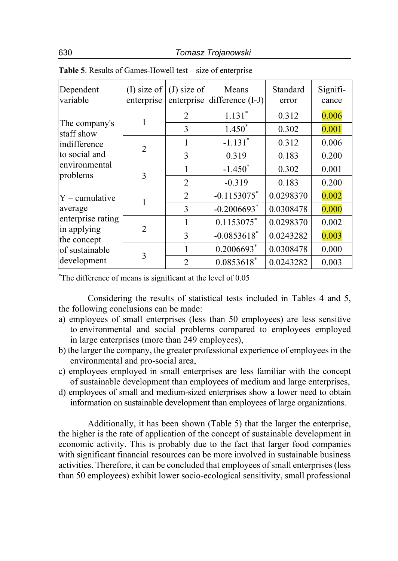| Dependent<br>variable                                                                       | enterprise | (I) size of $($ J) size of | Means<br>enterprise difference (I-J) | Standard<br>error | Signifi-<br>cance |
|---------------------------------------------------------------------------------------------|------------|----------------------------|--------------------------------------|-------------------|-------------------|
| The company's<br>staff show<br>indifference<br>to social and<br>environmental<br>problems   |            | 2                          | $1.131*$                             | 0.312             | 0.006             |
|                                                                                             |            | 3                          | $1.450*$                             | 0.302             | 0.001             |
|                                                                                             | 2          | 1                          | $-1.131$ <sup>*</sup>                | 0.312             | 0.006             |
|                                                                                             |            | 3                          | 0.319                                | 0.183             | 0.200             |
|                                                                                             | 3          | 1                          | $-1.450^*$                           | 0.302             | 0.001             |
|                                                                                             |            | $\overline{2}$             | $-0.319$                             | 0.183             | 0.200             |
| $Y$ – cumulative                                                                            |            | $\overline{2}$             | $-0.1153075$ *                       | 0.0298370         | 0.002             |
| average<br>enterprise rating<br>in applying<br>the concept<br>of sustainable<br>development |            | 3                          | $-0.2006693$ <sup>*</sup>            | 0.0308478         | 0.000             |
|                                                                                             | 2          | 1                          | $0.1153075$ *                        | 0.0298370         | 0.002             |
|                                                                                             |            | 3                          | $-0.0853618$ <sup>*</sup>            | 0.0243282         | 0.003             |
|                                                                                             | 3          | 1                          | $0.2006693$ <sup>*</sup>             | 0.0308478         | 0.000             |
|                                                                                             |            | $\overline{2}$             | $0.0853618$ *                        | 0.0243282         | 0.003             |

**Table 5**. Results of Games-Howell test – size of enterprise

\* The difference of means is significant at the level of 0.05

Considering the results of statistical tests included in Tables 4 and 5, the following conclusions can be made:

- a) employees of small enterprises (less than 50 employees) are less sensitive to environmental and social problems compared to employees employed in large enterprises (more than 249 employees),
- b) the larger the company, the greater professional experience of employees in the environmental and pro-social area,
- c) employees employed in small enterprises are less familiar with the concept of sustainable development than employees of medium and large enterprises,
- d) employees of small and medium-sized enterprises show a lower need to obtain information on sustainable development than employees of large organizations.

Additionally, it has been shown (Table 5) that the larger the enterprise, the higher is the rate of application of the concept of sustainable development in economic activity. This is probably due to the fact that larger food companies with significant financial resources can be more involved in sustainable business activities. Therefore, it can be concluded that employees of small enterprises (less than 50 employees) exhibit lower socio-ecological sensitivity, small professional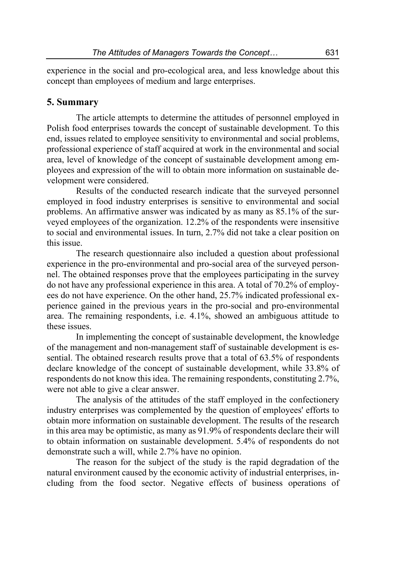experience in the social and pro-ecological area, and less knowledge about this concept than employees of medium and large enterprises.

## **5. Summary**

The article attempts to determine the attitudes of personnel employed in Polish food enterprises towards the concept of sustainable development. To this end, issues related to employee sensitivity to environmental and social problems, professional experience of staff acquired at work in the environmental and social area, level of knowledge of the concept of sustainable development among employees and expression of the will to obtain more information on sustainable development were considered.

Results of the conducted research indicate that the surveyed personnel employed in food industry enterprises is sensitive to environmental and social problems. An affirmative answer was indicated by as many as 85.1% of the surveyed employees of the organization. 12.2% of the respondents were insensitive to social and environmental issues. In turn, 2.7% did not take a clear position on this issue.

The research questionnaire also included a question about professional experience in the pro-environmental and pro-social area of the surveyed personnel. The obtained responses prove that the employees participating in the survey do not have any professional experience in this area. A total of 70.2% of employees do not have experience. On the other hand, 25.7% indicated professional experience gained in the previous years in the pro-social and pro-environmental area. The remaining respondents, i.e. 4.1%, showed an ambiguous attitude to these issues.

In implementing the concept of sustainable development, the knowledge of the management and non-management staff of sustainable development is essential. The obtained research results prove that a total of 63.5% of respondents declare knowledge of the concept of sustainable development, while 33.8% of respondents do not know this idea. The remaining respondents, constituting 2.7%, were not able to give a clear answer.

The analysis of the attitudes of the staff employed in the confectionery industry enterprises was complemented by the question of employees' efforts to obtain more information on sustainable development. The results of the research in this area may be optimistic, as many as 91.9% of respondents declare their will to obtain information on sustainable development. 5.4% of respondents do not demonstrate such a will, while 2.7% have no opinion.

The reason for the subject of the study is the rapid degradation of the natural environment caused by the economic activity of industrial enterprises, including from the food sector. Negative effects of business operations of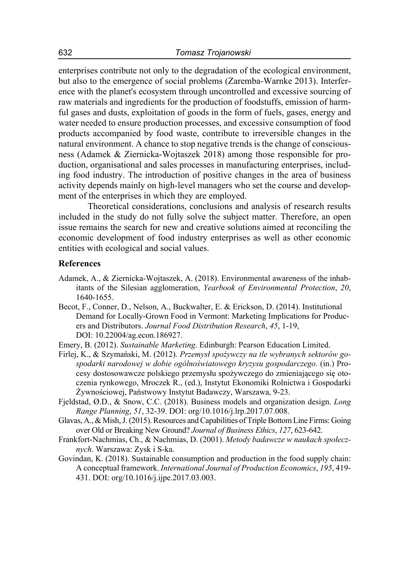enterprises contribute not only to the degradation of the ecological environment, but also to the emergence of social problems (Zaremba-Warnke 2013). Interference with the planet's ecosystem through uncontrolled and excessive sourcing of raw materials and ingredients for the production of foodstuffs, emission of harmful gases and dusts, exploitation of goods in the form of fuels, gases, energy and water needed to ensure production processes, and excessive consumption of food products accompanied by food waste, contribute to irreversible changes in the natural environment. A chance to stop negative trends is the change of consciousness (Adamek & Ziernicka-Wojtaszek 2018) among those responsible for production, organisational and sales processes in manufacturing enterprises, including food industry. The introduction of positive changes in the area of business activity depends mainly on high-level managers who set the course and development of the enterprises in which they are employed.

Theoretical considerations, conclusions and analysis of research results included in the study do not fully solve the subject matter. Therefore, an open issue remains the search for new and creative solutions aimed at reconciling the economic development of food industry enterprises as well as other economic entities with ecological and social values.

#### **References**

- Adamek, A., & Ziernicka-Wojtaszek, A. (2018). Environmental awareness of the inhabitants of the Silesian agglomeration, *Yearbook of Environmental Protection*, *20*, 1640-1655.
- Becot, F., Conner, D., Nelson, A., Buckwalter, E. & Erickson, D. (2014). Institutional Demand for Locally-Grown Food in Vermont: Marketing Implications for Producers and Distributors. *Journal Food Distribution Research*, *45*, 1-19, DOI: 10.22004/ag.econ.186927.
- Emery, B. (2012). *Sustainable Marketing*. Edinburgh: Pearson Education Limited.
- Firlej, K., & Szymański, M. (2012). *Przemysł spożywczy na tle wybranych sektorów gospodarki narodowej w dobie ogólnoświatowego kryzysu gospodarczego*. (in.) Procesy dostosowawcze polskiego przemysłu spożywczego do zmieniającego się otoczenia rynkowego, Mroczek R., (ed.), Instytut Ekonomiki Rolnictwa i Gospodarki Żywnościowej, Państwowy Instytut Badawczy, Warszawa, 9-23.
- Fjeldstad, Ø.D., & Snow, C.C. (2018). Business models and organization design. *Long Range Planning*, *51*, 32-39. DOI: org/10.1016/j.lrp.2017.07.008.
- Glavas, A., & Mish, J. (2015). Resources and Capabilities of Triple Bottom Line Firms: Going over Old or Breaking New Ground? *Journal of Business Ethics*, *127*, 623-642.
- Frankfort-Nachmias, Ch., & Nachmias, D. (2001). *Metody badawcze w naukach społecznych*. Warszawa: Zysk i S-ka.
- Govindan, K. (2018). Sustainable consumption and production in the food supply chain: A conceptual framework. *International Journal of Production Economics*, *195*, 419- 431. DOI: org/10.1016/j.ijpe.2017.03.003.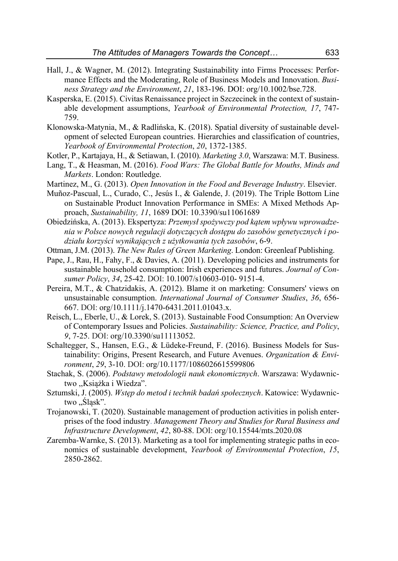- Hall, J., & Wagner, M. (2012). Integrating Sustainability into Firms Processes: Performance Effects and the Moderating, Role of Business Models and Innovation. *Business Strategy and the Environment*, *21*, 183-196. DOI: org/10.1002/bse.728.
- Kasperska, E. (2015). Civitas Renaissance project in Szczecinek in the context of sustainable development assumptions, *Yearbook of Environmental Protection, 17*, 747- 759.
- Klonowska-Matynia, M., & Radlińska, K. (2018). Spatial diversity of sustainable development of selected European countries. Hierarchies and classification of countries, *Yearbook of Environmental Protection*, *20*, 1372-1385.
- Kotler, P., Kartajaya, H., & Setiawan, I. (2010). *Marketing 3.0*, Warszawa: M.T. Business.
- Lang, T., & Heasman, M. (2016). *Food Wars: The Global Battle for Mouths, Minds and Markets*. London: Routledge.
- Martinez, M., G. (2013). *Open Innovation in the Food and Beverage Industry*. Elsevier.
- Muñoz-Pascual, L., Curado, C., Jesús I., & Galende, J. (2019). The Triple Bottom Line on Sustainable Product Innovation Performance in SMEs: A Mixed Methods Approach, *Sustainability, 11*, 1689 DOI: 10.3390/su11061689
- Obiedzińska, A. (2013). Ekspertyza: *Przemysł spożywczy pod kątem wpływu wprowadzenia w Polsce nowych regulacji dotyczących dostępu do zasobów genetycznych i podziału korzyści wynikających z użytkowania tych zasobów*, 6-9.
- Ottman, J.M. (2013). *The New Rules of Green Marketing*. London: Greenleaf Publishing.
- Pape, J., Rau, H., Fahy, F., & Davies, A. (2011). Developing policies and instruments for sustainable household consumption: Irish experiences and futures. *Journal of Consumer Policy*, *34*, 25-42. DOI: 10.1007/s10603-010- 9151-4.
- Pereira, M.T., & Chatzidakis, A. (2012). Blame it on marketing: Consumers' views on unsustainable consumption. *International Journal of Consumer Studies*, *36*, 656- 667. DOI: org/10.1111/j.1470-6431.2011.01043.x.
- Reisch, L., Eberle, U., & Lorek, S. (2013). Sustainable Food Consumption: An Overview of Contemporary Issues and Policies. *Sustainability: Science, Practice, and Policy*, *9*, 7-25. DOI: org/10.3390/su11113052.
- Schaltegger, S., Hansen, E.G., & Lüdeke-Freund, F. (2016). Business Models for Sustainability: Origins, Present Research, and Future Avenues. *Organization & Environment*, *29*, 3-10. DOI: org/10.1177/1086026615599806
- Stachak, S. (2006). *Podstawy metodologii nauk ekonomicznych*. Warszawa: Wydawnictwo ,,Książka i Wiedza".
- Sztumski, J. (2005). *Wstęp do metod i technik badań społecznych*. Katowice: Wydawnictwo "Śląsk".
- Trojanowski, T. (2020). Sustainable management of production activities in polish enterprises of the food industry. *Management Theory and Studies for Rural Business and Infrastructure Development*, *42*, 80-88. DOI: org/10.15544/mts.2020.08
- Zaremba-Warnke, S. (2013). Marketing as a tool for implementing strategic paths in economics of sustainable development, *Yearbook of Environmental Protection*, *15*, 2850-2862.